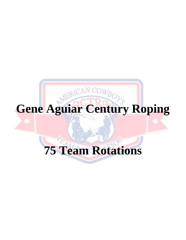# **Gene Aguiar Century Roping**

## **75 Team Rotations**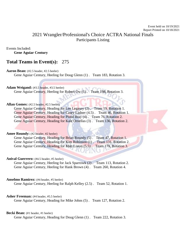Event held on 10/19/2021 Report Printed on 10/18/2021

### 2021 Wrangler/Professional's Choice ACTRA National Finals Participants Listing

Events Included: **Gene Aguiar Century**

#### **Total Teams in Event(s):** 275

**Aaron Bean:** (#2.5 header, #2.5 heeler)

Gene Aguiar Century, Heeling for Doug Glenn (1) . Team 183, Rotation 3.

Adam Weigand: (#3.5 header, #3.5 heeler) Gene Aguiar Century, Heeling for Robert Ow (1). Team 198, Rotation 3.

Allan Gomes: (#2.5 header, #2.5 heeler)

Gene Aguiar Century, Heading for Lee Legasey (2) . Team 19, Rotation 1. Gene Aguiar Century, Heading for Casey Ladner (4.5) . Team 46, Rotation 1. Gene Aguiar Century, Heading for Pistol Bray (4) . Team 76, Rotation 2. Gene Aguiar Century, Heading for Kale Ornellas (3). Team 136, Rotation 2.

Amee Roundy: (#2 header, #2 heeler)

Gene Aguiar Century, Heading for Brian Roundy (5). Team 47, Rotation 1. Gene Aguiar Century, Heading for Kim Robinson (1) . Team 131, Rotation 2. Gene Aguiar Century, Heading for Matt Liston (5.5) . Team 179, Rotation 3.

Anival Guerrero: (#4.5 header, #5 heeler)

Gene Aguiar Century, Heeling for Jack Sparrowk (2) . Team 113, Rotation 2. Gene Aguiar Century, Heeling for Hank Brown (4) . Team 260, Rotation 4.

**Anselmo Ramirez:** (#4 header, #5 heeler)

Gene Aguiar Century, Heeling for Ralph Kelley (2.5) . Team 52, Rotation 1.

**Asher Freeman:** (#4 header, #5.5 heeler)

Gene Aguiar Century, Heading for Mike Johns (5) . Team 127, Rotation 2.

Becki Bean: (#1 header, #1 heeler)

Gene Aguiar Century, Heading for Doug Glenn (1) . Team 222, Rotation 3.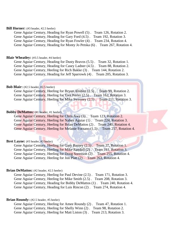#### **Bill Horner:** (#3 header, #2.5 heeler)

Gene Aguiar Century, Heading for Ryan Powell (5) . Team 126, Rotation 2. Gene Aguiar Century, Heading for Gary Ford (4.5) . Team 192, Rotation 3. Gene Aguiar Century, Heading for Ryan Fowler (4) . Team 234, Rotation 4. Gene Aguiar Century, Heading for Monty Jo Petska (6) . Team 267, Rotation 4.

#### **Blair Wheatley:** (#3.5 header, #4 heeler)

Gene Aguiar Century, Heading for Dusty Bravos (5.5) . Team 32, Rotation 1. Gene Aguiar Century, Heading for Casey Ladner (4.5) . Team 88, Rotation 2. Gene Aguiar Century, Heeling for Rich Bakke (3) . Team 144, Rotation 2. Gene Aguiar Century, Heading for Jeff Sparrowk (4) . Team 205, Rotation 3.

#### **Bob Blair:** (#2.5 header, #2.5 heeler)

Gene Aguiar Century, Heeling for Bryon Abshire (2.5) . Team 99, Rotation 2. Gene Aguiar Century, Heeling for Tres Porter (2.5) . Team 162, Rotation 3. Gene Aguiar Century, Heeling for Mike Sweeney (2.5) . Team 211, Rotation 3.

#### **Bobby DeMattos:** (#1 header, #1 heeler)

Gene Aguiar Century, Heeling for Chris Awa (3) . Team 123, Rotation 2. Gene Aguiar Century, Heeling for Nahea Aguiar (1) . Team 224, Rotation 3. Gene Aguiar Century, Heeling for Brian DeMattos (2) . Team 240, Rotation 4. Gene Aguiar Century, Heeling for Melanie Forzano (1.5) . Team 257, Rotation 4.

#### **Bret Layne:** (#3 header, #3 heeler)

Gene Aguiar Century, Heeling for Gary Barney (2.5) . Team 27, Rotation 1. Gene Aguiar Century, Heeling for Mike Randall (2) . Team 161, Rotation 3. Gene Aguiar Century, Heeling for Doug Sorenson (2) . Team 255, Rotation 4. Gene Aguiar Century, Heeling for Jon Platt (2) . Team 263, Rotation 4.

#### **Brian DeMattos:** (#2 header, #2.5 heeler)

Gene Aguiar Century, Heeling for Paul Devine (2.5) . Team 171, Rotation 3. Gene Aguiar Century, Heeling for Mike Smith (2.5) . Team 208, Rotation 3. Gene Aguiar Century, Heading for Bobby DeMattos (1) . Team 240, Rotation 4. Gene Aguiar Century, Heading for Luis Rincon (2) . Team 274, Rotation 4.

#### Brian Roundy: (#2.5 header, #5 heeler)

Gene Aguiar Century, Heeling for Amee Roundy (2) . Team 47, Rotation 1. Gene Aguiar Century, Heeling for Shelly Winn (2) . Team 98, Rotation 2. Gene Aguiar Century, Heeling for Matt Liston (3) . Team 213, Rotation 3.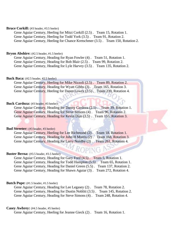#### Bruce Corkill: (#3 header, #3.5 heeler)

Gene Aguiar Century, Heeling for Mitzi Corkill (2.5) . Team 15, Rotation 1. Gene Aguiar Century, Heeling for Todd York (3.5) . Team 91, Rotation 2. Gene Aguiar Century, Heeling for Chance Kretschmer (3.5) . Team 150, Rotation 2.

#### Bryon Abshire: (#2.5 header, #1.5 heeler)

Gene Aguiar Century, Heading for Ryan Fowler (4) . Team 51, Rotation 1. Gene Aguiar Century, Heading for Bob Blair (2.5) . Team 99, Rotation 2. Gene Aguiar Century, Heading for Lyle Harvey (3.5) . Team 135, Rotation 2.

#### **Buck Baca:** (#2.5 header, #2.5 heeler)

Gene Aguiar Century, Heeling for Mike Nizzoli (2.5) . Team 89, Rotation 2. Gene Aguiar Century, Heading for Wyatt Gibbs (3) . Team 165, Rotation 3. Gene Aguiar Century, Heeling for Daren Lowry (2.5). Team 239, Rotation 4.

#### **Buck Cardoza:** (#3 header, #3 heeler)

Gene Aguiar Century, Heading for Danny Cardoza (2.5) . Team 39, Rotation 1. Gene Aguiar Century, Heading for Steve Simons (4) . Team 96, Rotation 2. Gene Aguiar Century, Heading for Kevin Dias (3.5) . Team 155, Rotation 3.

#### **Bud Streeter:** (#3 header, #3 heeler)

Gene Aguiar Century, Heeling for Lee Richmond (2) . Team 18, Rotation 1. Gene Aguiar Century, Heading for John H Morris (2) . Team 168, Rotation 3. Gene Aguiar Century, Heading for Larry Nordby (3). Team 261, Rotation 4.

COPING

#### **Buster Berna:** (#3.5 header, #3.5 heeler)

Gene Aguiar Century, Heading for Gary Ford (4.5) . Team 5, Rotation 1. Gene Aguiar Century, Heading for Todd Hampton (5.5) . Team 65, Rotation 1. Gene Aguiar Century, Heading for Daniel Green (5.5) . Team 137, Rotation 2. Gene Aguiar Century, Heading for Shawn Aguiar (3) . Team 272, Rotation 4.

#### Butch Pope: (#1.5 header, #1.5 heeler)

Gene Aguiar Century, Heading for Lee Legasey (2) . Team 78, Rotation 2. Gene Aguiar Century, Heading for Dustin Noblitt (3.5) . Team 145, Rotation 2. Gene Aguiar Century, Heading for Steve Simons (4) . Team 248, Rotation 4.

#### **Casey Awbrey:** (#4.5 header, #5 heeler)

Gene Aguiar Century, Heeling for Jeanne Gieck (2) . Team 16, Rotation 1.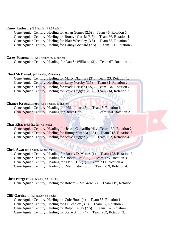#### **Casey Ladner:** (#3.5 header, #4.5 heeler)

Gene Aguiar Century, Heeling for Allan Gomes (2.5) . Team 46, Rotation 1. Gene Aguiar Century, Heeling for Ronnye Garcia (3.5) . Team 66, Rotation 1. Gene Aguiar Century, Heeling for Blair Wheatley (3.5) . Team 88, Rotation 2. Gene Aguiar Century, Heeling for Danny Goddard (2.5) . Team 111, Rotation 2.

#### **Casey Patterson:** (#2.5 header, #2.5 heeler)

Gene Aguiar Century, Heading for Dan Sr Williams (3) . Team 67, Rotation 1.

#### **Chad McDaniel:** (#4 header, #5 heeler)

Gene Aguiar Century, Heeling for Marty Okamura (3) . Team 23, Rotation 1. Gene Aguiar Century, Heeling for Larry Nordby (3.5). Team 81, Rotation 2. Gene Aguiar Century, Heeling for Wade Bertsch (2.5) . Team 134, Rotation 2. Gene Aguiar Century, Heeling for Steve Dugger (2.5). Team 214, Rotation 3.

#### **Chance Kretschmer:** (#3.5 header, #3 heeler)

Gene Aguiar Century, Heading for Mike Johns (5) . Team 3, Rotation 1. Gene Aguiar Century, Heading for Bruce Corkill (3.5). Team 150, Rotation 2.

#### **Chaz Rita:** (#3.5 header, #3 heeler)

Gene Aguiar Century, Heading for Jerold Camarillo (4) . Team 139, Rotation 2. Gene Aguiar Century, Heeling for Jimmy Miranda (1.5) . Team 218, Rotation 3. Gene Aguiar Century, Heeling for Steve Dugger (2.5) . Team 262, Rotation 4.

#### Chris Awa: (#3 header, #2 heeler)

Gene Aguiar Century, Heading for Bobby DeMattos (1). Team 123, Rotation 2. Gene Aguiar Century, Heading for Robert Rita (2.5) . Team 175, Rotation 3. Gene Aguiar Century, Heading for TBA TBA (1) . Team 230, Rotation 4. Gene Aguiar Century, Heading for Matt Liston (5.5) . Team 259, Rotation 4.

#### **Chris Burgess:** (#3 header, #3.5 heeler)

Gene Aguiar Century, Heeling for Robert E. McGrew (2) . Team 119, Rotation 2.

#### **Cliff Garrison:** (#3 header, #3 heeler)

Gene Aguiar Century, Heeling for Cole Hook (4) . Team 53, Rotation 1. Gene Aguiar Century, Heeling for JT Bradley (3.5) . Team 97, Rotation 2. Gene Aguiar Century, Heeling for Ralph Kelley (2.5) . Team 157, Rotation 3. Gene Aguiar Century, Heeling for Steve Smith (4) . Team 202, Rotation 3.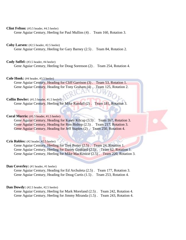**Clint Felton:** (#3.5 header, #4.5 heeler)

Gene Aguiar Century, Heeling for Paul Mullins (4) . Team 160, Rotation 3.

**Coby Larsen:** (#2.5 header, #2.5 heeler)

Gene Aguiar Century, Heeling for Gary Barney (2.5) . Team 84, Rotation 2.

**Cody Soffel:** (#3.5 header, #4 heeler) Gene Aguiar Century, Heeling for Doug Sorenson (2) . Team 254, Rotation 4.

**Cole Hook:** (#4 header, #3.5 heeler)

Gene Aguiar Century, Heading for Cliff Garrison (3) . Team 53, Rotation 1.<br>Gene Aguiar Century, Heading for Tony Graham (4) . Team 125, Rotation 2. Gene Aguiar Century, Heading for Tony Graham (4).

**Collin Bowler:** (#1.5 header, #1.5 heeler) Gene Aguiar Century, Heeling for Mike Randall (2) . Team 181, Rotation 3.

**Coral Morris:** (#1.5 header, #1.5 heeler)

Gene Aguiar Century, Heading for Kasey Kilcup (3.5) . Team 167, Rotation 3. Gene Aguiar Century, Heading for Ron Bishop (2.5) . Team 217, Rotation 3. Gene Aguiar Century, Heading for Jeff Staples (2) . Team 250, Rotation 4.

**Cris Robles:** (#2 header, #2.5 heeler)

Gene Aguiar Century, Heeling for Tres Porter (2.5) . Team 24, Rotation 1. Gene Aguiar Century, Heeling for Danny Goddard (2.5) . Team 62, Rotation 1. Gene Aguiar Century, Heeling for Mike MacKenzie (2.5) . Team 220, Rotation 3.

**Dan Coverley:** (#1 header, #1 heeler)

Gene Aguiar Century, Heading for Ed Archuleta (2.5) . Team 177, Rotation 3. Gene Aguiar Century, Heading for Doug Curtis (1.5) . Team 253, Rotation 4.

Dan Dowdy: (#2.5 header, #2.5 heeler)

Gene Aguiar Century, Heeling for Mark Moreland (2.5) . Team 242, Rotation 4. Gene Aguiar Century, Heeling for Jimmy Miranda (1.5) . Team 243, Rotation 4.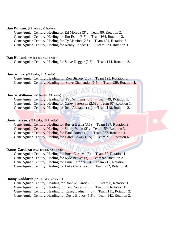#### **Dan Duncan:** (#3 header, #3 heeler)

Gene Aguiar Century, Heeling for Ed Moreda (3) . Team 86, Rotation 2. Gene Aguiar Century, Heeling for Jim Estill (3.5) . Team 164, Rotation 3. Gene Aguiar Century, Heeling for Ty Marriott (2.5) . Team 191, Rotation 3. Gene Aguiar Century, Heeling for Kenny Rhodes (3) . Team 223, Rotation 3.

#### **Dan Holland:** (#4 header, #5.5 heeler)

Gene Aguiar Century, Heeling for Steve Dugger (2.5) . Team 114, Rotation 2.

#### **Dan Santos:** (#2 header, #1.5 heeler)

Gene Aguiar Century, Heading for Ron Bishop (2.5) . Team 193, Rotation 3. Gene Aguiar Century, Heading for Steve Challender (1.5) . Team 229, Rotation 4.

#### **Dan Sr Williams:** (#3 header, #3 heeler)

Gene Aguiar Century, Heading for Ted Williams (3.5). Team 49, Rotation 1. Gene Aguiar Century, Heeling for Casey Patterson (2.5) . Team 67, Rotation 1. Gene Aguiar Century, Heeling for Josh Alexander (4) . Team 118, Rotation 2.

#### Daniel Green: (#6 header, #5.5 heeler)

Gene Aguiar Century, Heeling for Buster Berna (3.5) . Team 137, Rotation 2. Gene Aguiar Century, Heeling for Shelly Winn (2) . Team 159, Rotation 3. Gene Aguiar Century, Heeling for Hank Brown (4) . Team 227, Rotation 4. Gene Aguiar Century, Heeling for Daren Lowry (2.5) . Team 271, Rotation 4.

#### Danny Cardoza: (#2.5 header, #2.5 heeler)

Gene Aguiar Century, Heeling for Buck Cardoza (3) . Team 39, Rotation 1. Gene Aguiar Century, Heeling for Kyle Beaver (3) . Team 92, Rotation 2. Gene Aguiar Century, Heeling for Ernie Cardoza (3) . Team 212, Rotation 3. Gene Aguiar Century, Heeling for Luke Cardoza (3) . Team 252, Rotation 4.

#### Danny Goddard: (#2.5 header, #2 heeler)

Gene Aguiar Century, Heading for Ronnye Garcia (3.5) . Team 8, Rotation 1. Gene Aguiar Century, Heading for Cris Robles (2.5) . Team 62, Rotation 1. Gene Aguiar Century, Heading for Casey Ladner (4.5) . Team 111, Rotation 2. Gene Aguiar Century, Heading for Dusty Bravos (5.5) . Team 142, Rotation 2.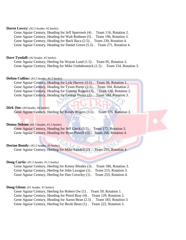#### Daren Lowry: (#2.5 header, #2 heeler)

Gene Aguiar Century, Heading for Jeff Sparrowk (4) . Team 116, Rotation 2. Gene Aguiar Century, Heading for Walt Rodman (5) . Team 196, Rotation 3. Gene Aguiar Century, Heading for Buck Baca (2.5) . Team 239, Rotation 4. Gene Aguiar Century, Heading for Daniel Green (5.5) . Team 271, Rotation 4.

#### **Dave Tyndall:** (#2 header, #2 heeler)

Gene Aguiar Century, Heeling for Wayne Lund (1.5) . Team 95, Rotation 2. Gene Aguiar Century, Heeling for Mike Umbdenstock (1.5) . Team 154, Rotation 3.

#### **Delton Cullins:** (#2.5 header, #2.5 heeler)

Gene Aguiar Century, Heading for Lyle Harvey (3.5) . Team 58, Rotation 1. Gene Aguiar Century, Heading for Tyson Porter (2.5) . Team 104, Rotation 2. Gene Aguiar Century, Heading for Tommy Rogers (3) . Team 138, Rotation 2. Gene Aguiar Century, Heading for George Porter (2) . Team 184, Rotation 3.

#### Dirk Jim: (#4 header, #4 heeler)

Gene Aguiar Century, Heeling for Randy Rogers (3.5). Team 176, Rotation 3.

#### **Donna Nelson:** (#2.5 header, #1.5 heeler)

Gene Aguiar Century, Heading for Jeff Gieck (3.5) . Team 172, Rotation 3. Gene Aguiar Century, Heading for Ryan Powell (5) . Team 266, Rotation 4.

**Dorian Bundy:** (#2.5 header, #2 heeler)

Gene Aguiar Century, Heeling for Mike Randall (2) . Team 235, Rotation 4.

#### **Doug Curtis:** (#1.5 header, #1.5 heeler)

Gene Aguiar Century, Heeling for Kenny Rhodes (3) . Team 180, Rotation 3. Gene Aguiar Century, Heeling for John Laxague (1) . Team 215, Rotation 3. Gene Aguiar Century, Heeling for Dan Coverley (1) . Team 253, Rotation 4.

#### **Doug Glenn:** (#1 header, #1 heeler)

Gene Aguiar Century, Heeling for Robert Ow (1) . Team 59, Rotation 1. Gene Aguiar Century, Heading for Pistol Bray (4) . Team 129, Rotation 2. Gene Aguiar Century, Heading for Aaron Bean (2.5) . Team 183, Rotation 3. Gene Aguiar Century, Heeling for Becki Bean (1) . Team 222, Rotation 3.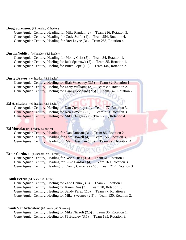#### **Doug Sorenson:** (#2 header, #2 heeler)

Gene Aguiar Century, Heading for Mike Randall (2) . Team 216, Rotation 3. Gene Aguiar Century, Heading for Cody Soffel (4) . Team 254, Rotation 4. Gene Aguiar Century, Heading for Bret Layne (3) . Team 255, Rotation 4.

#### **Dustin Noblitt:** (#4 header, #3.5 heeler)

Gene Aguiar Century, Heading for Monty Crist (5) . Team 34, Rotation 1. Gene Aguiar Century, Heeling for Jack Sparrowk (2) . Team 35, Rotation 1. Gene Aguiar Century, Heeling for Butch Pope (1.5) . Team 145, Rotation 2.

#### **Dusty Bravos:** (#4 header, #5.5 heeler)

Gene Aguiar Century, Heeling for Blair Wheatley (3.5) . Team 32, Rotation 1. Gene Aguiar Century, Heeling for Larry Williams (3) . Team 87, Rotation 2. Gene Aguiar Century, Heeling for Danny Goddard (2.5). Team 142, Rotation 2.

#### **Ed Archuleta:** (#3 header, #2.5 heeler)

Gene Aguiar Century, Heeling for Dan Coverley (1). Team 177, Rotation 3. Gene Aguiar Century, Heeling for Ken DeWitt (2.5) . Team 210, Rotation 3. Gene Aguiar Century, Heeling for Mike Dulgar (2) . Team 251, Rotation 4.

#### **Ed Moreda:** (#3 header, #3 heeler)

Gene Aguiar Century, Heading for Dan Duncan (3) . Team 86, Rotation 2. Gene Aguiar Century, Heading for Tom Howell (4). Team 156, Rotation 3. Gene Aguiar Century, Heading for Matt Hussman (4.5). Team 275, Rotation 4.

#### **Ernie Cardoza:** (#3 header, #2.5 heeler)

Gene Aguiar Century, Heading for Kevin Dias (3.5) . Team 61, Rotation 1. Gene Aguiar Century, Heading for Luke Cardoza (4) . Team 169, Rotation 3. Gene Aguiar Century, Heading for Danny Cardoza (2.5) . Team 212, Rotation 3.

#### Frank Perez: (#4 header, #5 heeler)

Gene Aguiar Century, Heeling for Zane Denio (3.5) . Team 2, Rotation 1. Gene Aguiar Century, Heeling for Karen Dias (3) . Team 20, Rotation 1. Gene Aguiar Century, Heeling for Sandy Perez (2.5) . Team 77, Rotation 2. Gene Aguiar Century, Heeling for Mike Sweeney (2.5) . Team 130, Rotation 2.

#### **Frank VanArtsdalen:** (#3 header, #3.5 heeler)

Gene Aguiar Century, Heeling for Mike Nizzoli (2.5) . Team 36, Rotation 1. Gene Aguiar Century, Heeling for JT Bradley (3.5) . Team 185, Rotation 3.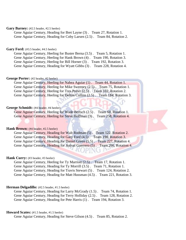#### Gary Barney: (#2.5 header, #2.5 heeler)

Gene Aguiar Century, Heading for Bret Layne (3) . Team 27, Rotation 1. Gene Aguiar Century, Heading for Coby Larsen (2.5) . Team 84, Rotation 2.

#### **Gary Ford:** (#3.5 header, #4.5 heeler)

Gene Aguiar Century, Heeling for Buster Berna (3.5) . Team 5, Rotation 1. Gene Aguiar Century, Heeling for Hank Brown (4) . Team 190, Rotation 3. Gene Aguiar Century, Heeling for Bill Horner (3) . Team 192, Rotation 3. Gene Aguiar Century, Heading for Wyatt Gibbs (3) . Team 228, Rotation 4.

#### George Porter: (#2 header, #2 heeler)

Gene Aguiar Century, Heeling for Nahea Aguiar (1). Team 44, Rotation 1. Gene Aguiar Century, Heeling for Mike Sweeney (2.5) . Team 75, Rotation 1. Gene Aguiar Century, Heeling for Tres Porter (2.5) . Team 102, Rotation 2. Gene Aguiar Century, Heeling for Delton Cullins (2.5). Team 184, Rotation 3.

#### **George Schmidt:** (#4 header, #4 heeler)

Gene Aguiar Century, Heeling for Wade Bertsch (2.5) . Team 60, Rotation 1. Gene Aguiar Century, Heeling for Steve Hoffman (3) . Team 258, Rotation 4.

#### **Hank Brown:** (#4 header, #2.5 heeler)

Gene Aguiar Century, Heading for Walt Rodman (5) . Team 122, Rotation 2. Gene Aguiar Century, Heading for Gary Ford (4.5) . Team 190, Rotation 3. Gene Aguiar Century, Heading for Daniel Green (5.5) . Team 227, Rotation 4. Gene Aguiar Century, Heading for Anival Guerrero (5) . Team 260, Rotation 4.

#### Hank Curry: (#3 header, #3 heeler)

Gene Aguiar Century, Heeling for Ty Marriott (2.5) . Team 17, Rotation 1. Gene Aguiar Century, Heading for Ty Morrill (3.5) . Team 71, Rotation 1. Gene Aguiar Century, Heading for Travis Stewart (5) . Team 124, Rotation 2. Gene Aguiar Century, Heading for Matt Hussman (4.5) . Team 221, Rotation 3.

#### **Herman Delgadillo:** (#2.5 header, #1.5 heeler)

Gene Aguiar Century, Heading for Larry McGrady (1.5) . Team 74, Rotation 1. Gene Aguiar Century, Heading for Terry Holliday (2.5) . Team 128, Rotation 2. Gene Aguiar Century, Heading for Pete Harris (1) . Team 194, Rotation 3.

#### **Howard Scates:** (#1.5 header, #1.5 heeler)

Gene Aguiar Century, Heading for Steve Gilson (4.5) . Team 85, Rotation 2.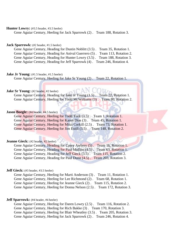#### **Hunter Lowry:** (#3.5 header, #3.5 heeler)

Gene Aguiar Century, Heeling for Jack Sparrowk (2) . Team 188, Rotation 3.

#### **Jack Sparrowk:** (#2 header, #1.5 heeler)

Gene Aguiar Century, Heading for Dustin Noblitt (3.5) . Team 35, Rotation 1. Gene Aguiar Century, Heading for Anival Guerrero (5) . Team 113, Rotation 2. Gene Aguiar Century, Heading for Hunter Lowry (3.5) . Team 188, Rotation 3. Gene Aguiar Century, Heading for Jeff Sparrowk (4) . Team 246, Rotation 4.

#### **Jake Jr Young:** (#1.5 header, #1.5 heeler)

Gene Aguiar Century, Heeling for Jake Sr Young (2) . Team 22, Rotation 1.

#### **Jake Sr Young:** (#2 header, #2 heeler)

Gene Aguiar Century, Heading for Jake Jr Young (1.5) . Team 22, Rotation 1. Gene Aguiar Century, Heeling for Todd McWilliams (3). Team 80, Rotation 2.

#### **Jason Boegle:** (#4 header, #4.5 heeler)

Gene Aguiar Century, Heeling for Todd York (3.5) . Team 1, Rotation 1. Gene Aguiar Century, Heeling for Karen Dias (3) . Team 45, Rotation 1. Gene Aguiar Century, Heeling for Mitzi Corkill (2.5) . Team 73, Rotation 1. Gene Aguiar Century, Heeling for Jim Estill (3.5) . Team 148, Rotation 2.

#### **Jeanne Gieck:** (#2 header, #2 heeler)

Gene Aguiar Century, Heading for Casey Awbrey (5) . Team 16, Rotation 1. Gene Aguiar Century, Heading for Paul Mullins (4.5) . Team 63, Rotation 1. Gene Aguiar Century, Heading for Jeff Gieck (3.5) . Team 115, Rotation 2. Gene Aguiar Century, Heading for Paul Dunn (4.5) . Team 203, Rotation 3.

#### **Jeff Gieck:** (#3 header, #3.5 heeler)

Gene Aguiar Century, Heeling for Marti Anderson (3) . Team 11, Rotation 1. Gene Aguiar Century, Heeling for Lee Richmond (2) . Team 68, Rotation 1. Gene Aguiar Century, Heeling for Jeanne Gieck (2) . Team 115, Rotation 2. Gene Aguiar Century, Heeling for Donna Nelson (2.5) . Team 172, Rotation 3.

#### **Jeff Sparrowk:** (#4 header, #4 heeler)

Gene Aguiar Century, Heeling for Daren Lowry (2.5) . Team 116, Rotation 2. Gene Aguiar Century, Heeling for Rich Bakke (3) . Team 170, Rotation 3. Gene Aguiar Century, Heeling for Blair Wheatley (3.5) . Team 205, Rotation 3. Gene Aguiar Century, Heeling for Jack Sparrowk (2) . Team 246, Rotation 4.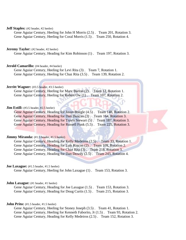#### **Jeff Staples:** (#2 header, #2 heeler)

Gene Aguiar Century, Heeling for John H Morris (2.5) . Team 201, Rotation 3. Gene Aguiar Century, Heeling for Coral Morris (1.5) . Team 250, Rotation 4.

#### **Jeremy Taylor:** (#2 header, #2 heeler)

Gene Aguiar Century, Heading for Kim Robinson (1) . Team 197, Rotation 3.

#### **Jerold Camarillo:** (#4 header, #4 heeler)

Gene Aguiar Century, Heeling for Levi Rita (3) . Team 7, Rotation 1. Gene Aguiar Century, Heeling for Chaz Rita (3.5) . Team 139, Rotation 2.

#### **Jerritt Wagner:** (#3.5 header, #3.5 heeler)

Gene Aguiar Century, Heeling for Marv Barton (2) . Team 12, Rotation 1. Gene Aguiar Century, Heeling for Robert Ow (1) . Team 107, Rotation 2.

#### **Jim Estill:** (#3.5 header, #2.5 heeler)

Gene Aguiar Century, Heading for Jason Boegle (4.5) . Team 148, Rotation 2. Gene Aguiar Century, Heading for Dan Duncan (3) . Team 164, Rotation 3. Gene Aguiar Century, Heading for Travis Stewart (5) . Team 187, Rotation 3. Gene Aguiar Century, Heading for Russell Funk (5.5). Team 225, Rotation 3.

#### **Jimmy Miranda:** (#1.5 header, #1.5 heeler)

Gene Aguiar Century, Heading for Kelly Medeiros (2.5) . Team 33, Rotation 1. Gene Aguiar Century, Heading for Luis Rincon (2) . Team 109, Rotation 2. Gene Aguiar Century, Heading for Chaz Rita (3) . Team 218, Rotation 3. Gene Aguiar Century, Heading for Dan Dowdy (2.5) . Team 243, Rotation 4.

**Joe Laxague:** (#1.5 header, #1.5 heeler)

Gene Aguiar Century, Heeling for John Laxague (1) . Team 153, Rotation 3.

#### **John Laxague:** (#1 header, #1 heeler)

Gene Aguiar Century, Heading for Joe Laxague (1.5) . Team 153, Rotation 3. Gene Aguiar Century, Heading for Doug Curtis (1.5) . Team 215, Rotation 3.

#### **John Prito:** (#1.5 header, #1.5 heeler)

Gene Aguiar Century, Heeling for Stoney Joseph (3.5) . Team 41, Rotation 1. Gene Aguiar Century, Heeling for Kenneth Faborito, Jr (1.5) . Team 93, Rotation 2. Gene Aguiar Century, Heading for Kelly Medeiros (2.5) . Team 152, Rotation 3.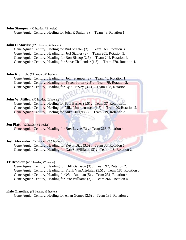#### **John Stamper:** (#2 header, #2 heeler)

Gene Aguiar Century, Heeling for John R Smith (3) . Team 48, Rotation 1.

#### **John H Morris:** (#2.5 header, #2 heeler)

Gene Aguiar Century, Heeling for Bud Streeter (3) . Team 168, Rotation 3. Gene Aguiar Century, Heading for Jeff Staples (2) . Team 201, Rotation 3. Gene Aguiar Century, Heading for Ron Bishop (2.5) . Team 244, Rotation 4. Gene Aguiar Century, Heading for Steve Challender (1.5) . Team 270, Rotation 4.

#### **John R Smith:** (#3 header, #2 heeler)

Gene Aguiar Century, Heading for John Stamper (2) . Team 48, Rotation 1. Gene Aguiar Century, Heading for Tyson Porter (2.5) . Team 79, Rotation 2.<br>Gene Aguiar Century, Heading for Lyle Harvey (3.5) . Team 108, Rotation 2. Gene Aguiar Century, Heading for Lyle Harvey (3.5).

#### **John W. Miller:** (#2 header, #2 heeler)

Gene Aguiar Century, Heeling for Paul Barnes (1.5) . Team 37, Rotation 1. Gene Aguiar Century, Heeling for Mike Umbdenstock (1.5) . Team 90, Rotation 2. Gene Aguiar Century, Heeling for Mike Dulgar (2) . Team 219, Rotation 3.

**Jon Platt:** (#2 header, #2 heeler)

Gene Aguiar Century, Heading for Bret Layne (3) . Team 263, Rotation 4.

#### **Josh Alexander:** (#4 header, #3.5 heeler)

Gene Aguiar Century, Heading for Kevin Dias (3.5) . Team 30, Rotation 1. Gene Aguiar Century, Heading for Dan Sr Williams (3). Team 118, Rotation 2.

#### **JT Bradley:** (#3.5 header, #2 heeler)

Gene Aguiar Century, Heading for Cliff Garrison (3) . Team 97, Rotation 2. Gene Aguiar Century, Heading for Frank VanArtsdalen (3.5) . Team 185, Rotation 3. Gene Aguiar Century, Heading for Walt Rodman (5) . Team 231, Rotation 4. Gene Aguiar Century, Heading for Pete Williams (2) . Team 264, Rotation 4.

#### **Kale Ornellas:** (#3 header, #3 heeler)

Gene Aguiar Century, Heeling for Allan Gomes (2.5) . Team 136, Rotation 2.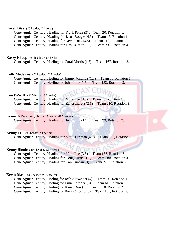#### **Karen Dias:** (#3 header, #2 heeler)

Gene Aguiar Century, Heading for Frank Perez (5) . Team 20, Rotation 1. Gene Aguiar Century, Heading for Jason Boegle (4.5) . Team 45, Rotation 1. Gene Aguiar Century, Heading for Kevin Dias (3.5) . Team 110, Rotation 2. Gene Aguiar Century, Heading for Tim Gaither (3.5) . Team 237, Rotation 4.

**Kasey Kilcup:** (#3 header, #3.5 heeler)

Gene Aguiar Century, Heeling for Coral Morris (1.5) . Team 167, Rotation 3.

**Kelly Medeiros:** (#2 header, #2.5 heeler)

Gene Aguiar Century, Heeling for Jimmy Miranda (1.5) . Team 33, Rotation 1. Gene Aguiar Century, Heeling for John Prito (1.5) . Team 152, Rotation 3.

**Ken DeWitt:** (#2.5 header, #2 heeler)

Gene Aguiar Century, Heading for Mark Lee (3.5). Team 25, Rotation 1. Gene Aguiar Century, Heading for Ed Archuleta (2.5) . Team 210, Rotation 3.

**Kenneth Faborito, Jr:** (#1.5 header, #1.5 heeler)

Gene Aguiar Century, Heading for John Prito (1.5) . Team 93, Rotation 2.

**Kenny Lee:** (#3 header, #3 heeler)

Gene Aguiar Century, Heading for Matt Hussman (4.5) . Team 166, Rotation 3.

**Kenny Rhodes:** (#3 header, #2.5 heeler)

Gene Aguiar Century, Heading for Mark Lee (3.5). Team 158, Rotation 3. Gene Aguiar Century, Heading for Doug Curtis (1.5) . Team 180, Rotation 3. Gene Aguiar Century, Heading for Dan Duncan (3) . Team 223, Rotation 3.

**Kevin Dias:** (#3.5 header, #3.5 heeler)

Gene Aguiar Century, Heeling for Josh Alexander (4) . Team 30, Rotation 1. Gene Aguiar Century, Heeling for Ernie Cardoza (3) . Team 61, Rotation 1. Gene Aguiar Century, Heeling for Karen Dias (3) . Team 110, Rotation 2. Gene Aguiar Century, Heeling for Buck Cardoza (3) . Team 155, Rotation 3.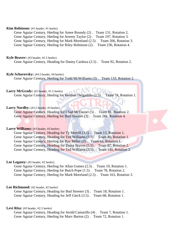#### **Kim Robinson:** (#1 header, #1 heeler)

Gene Aguiar Century, Heeling for Amee Roundy (2) . Team 131, Rotation 2. Gene Aguiar Century, Heeling for Jeremy Taylor (2) . Team 197, Rotation 3. Gene Aguiar Century, Heeling for Mark Moreland (2.5) . Team 206, Rotation 3. Gene Aguiar Century, Heeling for Riley Robinson (2) . Team 236, Rotation 4.

#### **Kyle Beaver:** (#3 header, #2.5 heeler)

Gene Aguiar Century, Heading for Danny Cardoza (2.5) . Team 92, Rotation 2.

#### **Kyle Schorovsky:** (#4.5 header, #4 heeler)

Gene Aguiar Century, Heeling for Todd McWilliams (3) . Team 133, Rotation 2.

#### Larry McGrady: (#2 header, #1.5 heeler)

Gene Aguiar Century, Heeling for Herman Delgadillo (2.5) . Team 74, Rotation 1.

#### Larry Nordby: (#3.5 header, #3 heeler)

Gene Aguiar Century, Heading for Chad McDaniel (5) . Team 81, Rotation 2. Gene Aguiar Century, Heeling for Bud Streeter (3). Team 261, Rotation 4.

#### Larry Williams: (#3 header, #3 heeler)

Gene Aguiar Century, Heading for Ty Morrill (3.5) . Team 13, Rotation 1. Gene Aguiar Century, Heading for Ted Williams (3.5) . Team 40, Rotation 1. Gene Aguiar Century, Heeling for Ray Miller (2) . Team 64, Rotation 1. Gene Aguiar Century, Heading for Dusty Bravos (5.5) . Team 87, Rotation 2. Gene Aguiar Century, Heading for Ted Williams (3.5) . Team 140, Rotation 2.

#### Lee Legasey: (#2 header, #2 heeler)

Gene Aguiar Century, Heeling for Allan Gomes (2.5) . Team 19, Rotation 1. Gene Aguiar Century, Heeling for Butch Pope (1.5) . Team 78, Rotation 2. Gene Aguiar Century, Heeling for Mark Moreland (2.5) . Team 163, Rotation 3.

#### Lee Richmond: (#2 header, #2 heeler)

Gene Aguiar Century, Heading for Bud Streeter (3) . Team 18, Rotation 1. Gene Aguiar Century, Heading for Jeff Gieck (3.5) . Team 68, Rotation 1.

#### Levi Rita: (#3 header, #2.5 heeler)

Gene Aguiar Century, Heading for Jerold Camarillo (4) . Team 7, Rotation 1. Gene Aguiar Century, Heeling for Marv Barton (2) . Team 72, Rotation 1.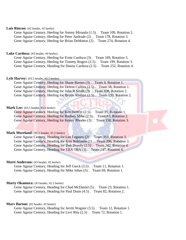#### Luis Rincon: (#2 header, #2 heeler)

Gene Aguiar Century, Heeling for Jimmy Miranda (1.5) . Team 109, Rotation 2. Gene Aguiar Century, Heeling for Peter Andrade (2) . Team 178, Rotation 3. Gene Aguiar Century, Heeling for Brian DeMattos (2) . Team 274, Rotation 4.

#### Luke Cardoza: (#3 header, #4 heeler)

Gene Aguiar Century, Heeling for Ernie Cardoza (3) . Team 169, Rotation 3. Gene Aguiar Century, Heeling for Tommy Rogers (2.5) . Team 199, Rotation 3. Gene Aguiar Century, Heading for Danny Cardoza (2.5) . Team 252, Rotation 4.

#### Lyle Harvey: (#3.5 header, #3.5 heeler)

Gene Aguiar Century, Heeling for Shane Barnes (3) . Team 4, Rotation 1. Gene Aguiar Century, Heeling for Delton Cullins (2.5) . Team 58, Rotation 1. Gene Aguiar Century, Heeling for John R Smith (3) . Team 108, Rotation 2. Gene Aguiar Century, Heeling for Bryon Abshire (2.5). Team 135, Rotation 2.

#### **Mark Lee:** (#3.5 header, #3.5 heeler)

Gene Aguiar Century, Heeling for Ken DeWitt (2.5) . Team 25, Rotation 1. Gene Aguiar Century, Heeling for Rodney Mike (2.5) . Team 83, Rotation 2. Gene Aguiar Century, Heeling for Kenny Rhodes (3) . Team 158, Rotation 3.

#### **Mark Moreland:** (#2.5 header, #1.5 heeler)

Gene Aguiar Century, Heading for Lee Legasey (2) . Team 163, Rotation 3. Gene Aguiar Century, Heading for Kim Robinson (1). Team 206, Rotation 3. Gene Aguiar Century, Heading for Dan Dowdy (2.5) . Team 242, Rotation 4. Gene Aguiar Century, Heading for TBA TBA (1). Team 247, Rotation 4.

#### **Marti Anderson:** (#3 header, #2 heeler)

Gene Aguiar Century, Heading for Jeff Gieck (3.5) . Team 11, Rotation 1. Gene Aguiar Century, Heading for Mike Johns (5) . Team 69, Rotation 1.

#### **Marty Okamura:** (#3 header, #2.5 heeler)

Gene Aguiar Century, Heading for Chad McDaniel (5) . Team 23, Rotation 1. Gene Aguiar Century, Heading for Paul Dunn (4.5) . Team 82, Rotation 2.

#### **Marv Barton:** (#2 header, #2 heeler)

Gene Aguiar Century, Heading for Jerritt Wagner (3.5) . Team 12, Rotation 1. Gene Aguiar Century, Heading for Levi Rita (2.5) . Team 72, Rotation 1.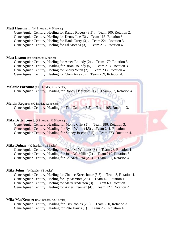#### **Matt Hussman:** (#4.5 header, #4.5 heeler)

Gene Aguiar Century, Heeling for Randy Rogers (3.5) . Team 100, Rotation 2. Gene Aguiar Century, Heeling for Kenny Lee (3) . Team 166, Rotation 3. Gene Aguiar Century, Heeling for Hank Curry (3) . Team 221, Rotation 3. Gene Aguiar Century, Heeling for Ed Moreda (3) . Team 275, Rotation 4.

#### **Matt Liston:** (#3 header, #5.5 heeler)

Gene Aguiar Century, Heeling for Amee Roundy (2) . Team 179, Rotation 3. Gene Aguiar Century, Heading for Brian Roundy (5) . Team 213, Rotation 3. Gene Aguiar Century, Heeling for Shelly Winn (2) . Team 233, Rotation 4. Gene Aguiar Century, Heeling for Chris Awa (3) . Team 259, Rotation 4.

**Melanie Forzano:** (#1.5 header, #1.5 heeler)

Gene Aguiar Century, Heading for Bobby DeMattos (1). Team 257, Rotation 4.

#### **Melvin Rogers:** (#2 header, #2 heeler)

Gene Aguiar Century, Heading for Tim Gaither (3.5). Team 195, Rotation 3.

#### **Mike Bettencourt:** (#2 header, #1.5 heeler)

Gene Aguiar Century, Heading for Monty Crist (5). Team 186, Rotation 3. Gene Aguiar Century, Heading for Ryan White (4.5) . Team 241, Rotation 4. Gene Aguiar Century, Heading for Stoney Joseph (3.5) . Team 273, Rotation 4.

#### **Mike Dulgar:** (#2 header, #1.5 heeler)

Gene Aguiar Century, Heeling for Todd McWilliams (3) . Team 28, Rotation 1. Gene Aguiar Century, Heading for John W. Miller (2) . Team 219, Rotation 3. Gene Aguiar Century, Heading for Ed Archuleta (2.5) . Team 251, Rotation 4.

#### **Mike Johns:** (#4 header, #5 heeler)

Gene Aguiar Century, Heeling for Chance Kretschmer (3.5) . Team 3, Rotation 1. Gene Aguiar Century, Heeling for Ty Marriott (2.5) . Team 42, Rotation 1. Gene Aguiar Century, Heeling for Marti Anderson (3) . Team 69, Rotation 1. Gene Aguiar Century, Heeling for Asher Freeman (4) . Team 127, Rotation 2.

#### **Mike MacKenzie:** (#2.5 header, #2.5 heeler)

Gene Aguiar Century, Heading for Cris Robles (2.5) . Team 220, Rotation 3. Gene Aguiar Century, Heading for Pete Harris (1) . Team 265, Rotation 4.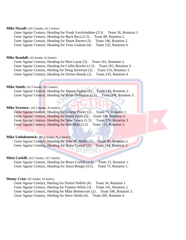#### **Mike Nizzoli:** (#2.5 header, #2.5 heeler)

Gene Aguiar Century, Heading for Frank VanArtsdalen (3.5) . Team 36, Rotation 1. Gene Aguiar Century, Heading for Buck Baca (2.5) . Team 89, Rotation 2. Gene Aguiar Century, Heading for Shane Barnes (3) . Team 146, Rotation 2. Gene Aguiar Century, Heading for Tony Graham (4) . Team 232, Rotation 4.

#### **Mike Randall:** (#2 header, #2 heeler)

Gene Aguiar Century, Heading for Bret Layne (3) . Team 161, Rotation 3. Gene Aguiar Century, Heading for Collin Bowler (1.5) . Team 181, Rotation 3. Gene Aguiar Century, Heeling for Doug Sorenson (2) . Team 216, Rotation 3. Gene Aguiar Century, Heading for Dorian Bundy (2) . Team 235, Rotation 4.

#### **Mike Smith:** (#2.5 header, #2.5 heeler)

Gene Aguiar Century, Heading for Shawn Aguiar (3) . Team 143, Rotation 2. Gene Aguiar Century, Heading for Brian DeMattos (2.5) . Team 208, Rotation 3.

#### **Mike Sweeney:** (#2.5 header, #2 heeler)

Gene Aguiar Century, Heading for George Porter (2) . Team 75, Rotation 1. Gene Aguiar Century, Heading for Frank Perez (5) . Team 130, Rotation 2. Gene Aguiar Century, Heading for Stew Lowry (1.5) . Team 174, Rotation 3. Gene Aguiar Century, Heading for Bob Blair (2.5) . Team 211, Rotation 3.

#### **Mike Umbdenstock:** (#1.5 header, #1.5 heeler)

Gene Aguiar Century, Heading for John W. Miller (2). Team 90, Rotation 2. Gene Aguiar Century, Heading for Dave Tyndall (2) . Team 154, Rotation 3.

#### **Mitzi Corkill:** (#2.5 header, #2.5 heeler)

Gene Aguiar Century, Heading for Bruce Corkill (3.5) . Team 15, Rotation 1. Gene Aguiar Century, Heading for Jason Boegle (4.5) . Team 73, Rotation 1.

#### **Monty Crist:** (#5 header, #5 heeler)

Gene Aguiar Century, Heeling for Dustin Noblitt (4) . Team 34, Rotation 1. Gene Aguiar Century, Heeling for Tammy White (3) . Team 141, Rotation 2. Gene Aguiar Century, Heeling for Mike Bettencourt (2) . Team 186, Rotation 3. Gene Aguiar Century, Heeling for Steve Smith (4) . Team 269, Rotation 4.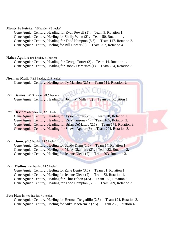#### **Monty Jo Petska:** (#5 header, #6 heeler)

Gene Aguiar Century, Heading for Ryan Powell (5) . Team 9, Rotation 1. Gene Aguiar Century, Heeling for Shelly Winn (2) . Team 50, Rotation 1. Gene Aguiar Century, Heading for Todd Hampton (5.5) . Team 117, Rotation 2. Gene Aguiar Century, Heeling for Bill Horner (3) . Team 267, Rotation 4.

**Nahea Aguiar:** (#1 header, #1 heeler)

Gene Aguiar Century, Heading for George Porter (2) . Team 44, Rotation 1. Gene Aguiar Century, Heading for Bobby DeMattos (1) . Team 224, Rotation 3.

**Norman Mull:** (#2.5 header, #2.5 heeler) Gene Aguiar Century, Heeling for Ty Marriott (2.5). Team 112, Rotation 2.

Paul Barnes: (#1.5 header, #1.5 heeler) Gene Aguiar Century, Heading for John W. Miller (2) . Team 37, Rotation 1.

**Paul Devine:** (#2.5 header, #2.5 heeler)

Gene Aguiar Century, Heading for Tyson Porter (2.5) . Team 10, Rotation 1. Gene Aguiar Century, Heading for Rick Fausone (4) . Team 105, Rotation 2. Gene Aguiar Century, Heading for Brian DeMattos (2.5) . Team 171, Rotation 3. Gene Aguiar Century, Heading for Shawn Aguiar (3) . Team 204, Rotation 3.

Paul Dunn: (#4.5 header, #4.5 heeler)

Gene Aguiar Century, Heeling for Sandy Dunn (1.5) . Team 14, Rotation 1. Gene Aguiar Century, Heeling for Marty Okamura (3) . Team 82, Rotation 2. Gene Aguiar Century, Heeling for Jeanne Gieck (2) . Team 203, Rotation 3.

**Paul Mullins:** (#4 header, #4.5 heeler)

Gene Aguiar Century, Heeling for Zane Denio (3.5) . Team 31, Rotation 1. Gene Aguiar Century, Heeling for Jeanne Gieck (2) . Team 63, Rotation 1. Gene Aguiar Century, Heading for Clint Felton (4.5) . Team 160, Rotation 3. Gene Aguiar Century, Heading for Todd Hampton (5.5) . Team 209, Rotation 3.

Pete Harris: (#1 header, #1 heeler)

Gene Aguiar Century, Heeling for Herman Delgadillo (2.5) . Team 194, Rotation 3. Gene Aguiar Century, Heeling for Mike MacKenzie (2.5) . Team 265, Rotation 4.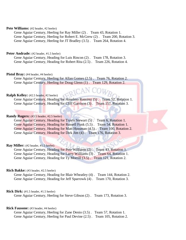#### **Pete Williams:** (#2 header, #2 heeler)

Gene Aguiar Century, Heeling for Ray Miller (2) . Team 43, Rotation 1. Gene Aguiar Century, Heeling for Robert E. McGrew (2) . Team 200, Rotation 3. Gene Aguiar Century, Heeling for JT Bradley (3.5) . Team 264, Rotation 4.

#### Peter Andrade: (#2 header, #1.5 heeler)

Gene Aguiar Century, Heading for Luis Rincon (2) . Team 178, Rotation 3. Gene Aguiar Century, Heading for Robert Rita (2.5) . Team 226, Rotation 4.

#### **Pistol Bray:** (#4 header, #4 heeler)

Gene Aguiar Century, Heeling for Allan Gomes (2.5) . Team 76, Rotation 2. Gene Aguiar Century, Heeling for Doug Glenn (1) . Team 129, Rotation 2.

#### **Ralph Kelley:** (#2.5 header, #2 heeler)

Gene Aguiar Century, Heading for Anselmo Ramirez (5) . Team 52, Rotation 1. Gene Aguiar Century, Heading for Cliff Garrison (3). Team 157, Rotation 3.

#### **Randy Rogers:** (#3.5 header, #2.5 heeler)

Gene Aguiar Century, Heading for Travis Stewart (5) . Team 6, Rotation 1. Gene Aguiar Century, Heading for Russell Funk (5.5) . Team 54, Rotation 1. Gene Aguiar Century, Heading for Matt Hussman (4.5) . Team 100, Rotation 2. Gene Aguiar Century, Heading for Dirk Jim (4) . Team 176, Rotation 3.

#### **Ray Miller:** (#2 header, #1.5 heeler)

Gene Aguiar Century, Heading for Pete Williams (2) . Team 43, Rotation 1. Gene Aguiar Century, Heading for Larry Williams (3). Team 64, Rotation 1. Gene Aguiar Century, Heading for Ty Morrill (3.5) . Team 121, Rotation 2.

#### **Rich Bakke:** (#3 header, #2.5 heeler)

Gene Aguiar Century, Heading for Blair Wheatley (4) . Team 144, Rotation 2. Gene Aguiar Century, Heading for Jeff Sparrowk (4) . Team 170, Rotation 3.

#### **Rick Dirk:** (#1.5 header, #1.5 heeler)

Gene Aguiar Century, Heeling for Steve Gibson (2) . Team 173, Rotation 3.

#### **Rick Fausone:** (#3 header, #4 heeler)

Gene Aguiar Century, Heeling for Zane Denio (3.5) . Team 57, Rotation 1. Gene Aguiar Century, Heeling for Paul Devine (2.5) . Team 105, Rotation 2.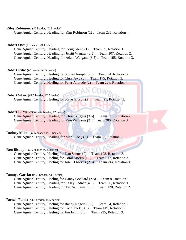#### **Riley Robinson:** (#2 header, #2.5 heeler)

Gene Aguiar Century, Heading for Kim Robinson (1) . Team 236, Rotation 4.

#### **Robert Ow:** (#1 header, #1 heeler)

Gene Aguiar Century, Heading for Doug Glenn (1) . Team 59, Rotation 1. Gene Aguiar Century, Heading for Jerritt Wagner (3.5) . Team 107, Rotation 2. Gene Aguiar Century, Heading for Adam Weigand (3.5) . Team 198, Rotation 3.

#### **Robert Rita:** (#3 header, #2.5 heeler)

Gene Aguiar Century, Heeling for Stoney Joseph (3.5) . Team 94, Rotation 2. Gene Aguiar Century, Heeling for Chris Awa (3) . Team 175, Rotation 3. Gene Aguiar Century, Heeling for Peter Andrade (2) . Team 226, Rotation 4.

#### **Robert Silva:** (#2.5 header, #2.5 heeler)

Gene Aguiar Century, Heeling for Steve Gibson (2) . Team 21, Rotation 1.

#### **Robert E. McGrew:** (#2 header, #2 heeler)

Gene Aguiar Century, Heading for Chris Burgess (3.5) . Team 119, Rotation 2. Gene Aguiar Century, Heading for Pete Williams (2) . Team 200, Rotation 3.

#### **Rodney Mike:** (#2.5 header, #2.5 heeler)

Gene Aguiar Century, Heading for Mark Lee (3.5) . Team 83, Rotation 2.

#### **Ron Bishop:** (#2.5 header, #2.5 heeler)

Gene Aguiar Century, Heeling for Dan Santos (2) . Team 193, Rotation 3. Gene Aguiar Century, Heeling for Coral Morris (1.5) . Team 217, Rotation 3. Gene Aguiar Century, Heeling for John H Morris (2.5) . Team 244, Rotation 4.

#### **Ronnye Garcia:** (#3.5 header, #3.5 heeler)

Gene Aguiar Century, Heeling for Danny Goddard (2.5) . Team 8, Rotation 1. Gene Aguiar Century, Heading for Casey Ladner (4.5) . Team 66, Rotation 1. Gene Aguiar Century, Heading for Ted Williams (3.5) . Team 120, Rotation 2.

#### **Russell Funk:** (#4.5 header, #5.5 heeler)

Gene Aguiar Century, Heeling for Randy Rogers (3.5) . Team 54, Rotation 1. Gene Aguiar Century, Heeling for Todd York (3.5) . Team 149, Rotation 2. Gene Aguiar Century, Heeling for Jim Estill (3.5) . Team 225, Rotation 3.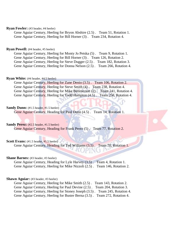#### **Ryan Fowler:** (#3 header, #4 heeler)

Gene Aguiar Century, Heeling for Bryon Abshire (2.5) . Team 51, Rotation 1. Gene Aguiar Century, Heeling for Bill Horner (3) . Team 234, Rotation 4.

#### **Ryan Powell:** (#4 header, #5 heeler)

Gene Aguiar Century, Heeling for Monty Jo Petska (5) . Team 9, Rotation 1. Gene Aguiar Century, Heeling for Bill Horner (3) . Team 126, Rotation 2. Gene Aguiar Century, Heeling for Steve Dugger (2.5) . Team 182, Rotation 3. Gene Aguiar Century, Heeling for Donna Nelson (2.5) . Team 266, Rotation 4.

#### **Ryan White:** (#4 header, #4.5 heeler)

Gene Aguiar Century, Heeling for Zane Denio (3.5) . Team 106, Rotation 2. Gene Aguiar Century, Heeling for Steve Smith (4) . Team 238, Rotation 4. Gene Aguiar Century, Heeling for Mike Bettencourt (2). Team 241, Rotation 4. Gene Aguiar Century, Heeling for Todd Hampton (4.5) . Team 256, Rotation 4.

#### **Sandy Dunn:** (#1.5 header, #1.5 heeler)

Gene Aguiar Century, Heading for Paul Dunn (4.5) . Team 14, Rotation 1.

#### **Sandy Perez:** (#2.5 header, #1.5 heeler)

Gene Aguiar Century, Heading for Frank Perez (5) . Team 77, Rotation 2.

#### **Scott Evans:** (#1.5 header, #1.5 heeler)

Gene Aguiar Century, Heading for Ted Williams (3.5) . Team 70, Rotation 1.

#### **Shane Barnes:** (#3 header, #3 heeler)

Gene Aguiar Century, Heading for Lyle Harvey (3.5) . Team 4, Rotation 1. Gene Aguiar Century, Heeling for Mike Nizzoli (2.5) . Team 146, Rotation 2.

#### **Shawn Aguiar:** (#3 header, #3 heeler)

Gene Aguiar Century, Heeling for Mike Smith (2.5) . Team 143, Rotation 2. Gene Aguiar Century, Heeling for Paul Devine (2.5) . Team 204, Rotation 3. Gene Aguiar Century, Heeling for Stoney Joseph (3.5) . Team 245, Rotation 4. Gene Aguiar Century, Heeling for Buster Berna (3.5) . Team 272, Rotation 4.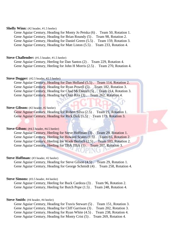#### **Shelly Winn:** (#2 header, #1.5 heeler)

Gene Aguiar Century, Heading for Monty Jo Petska (6) . Team 50, Rotation 1. Gene Aguiar Century, Heading for Brian Roundy (5) . Team 98, Rotation 2. Gene Aguiar Century, Heading for Daniel Green (5.5) . Team 159, Rotation 3. Gene Aguiar Century, Heading for Matt Liston (5.5) . Team 233, Rotation 4.

#### **Steve Challender:** (#1.5 header, #1.5 heeler)

Gene Aguiar Century, Heeling for Dan Santos (2) . Team 229, Rotation 4. Gene Aguiar Century, Heeling for John H Morris (2.5) . Team 270, Rotation 4.

#### **Steve Dugger:** (#2.5 header, #2.5 heeler)

Gene Aguiar Century, Heading for Dan Holland (5.5). Team 114, Rotation 2. Gene Aguiar Century, Heading for Ryan Powell (5) . Team 182, Rotation 3. Gene Aguiar Century, Heading for Chad McDaniel (5) . Team 214, Rotation 3. Gene Aguiar Century, Heading for Chaz Rita (3) . Team 262, Rotation 4.

#### **Steve Gibson:** (#2 header, #2 heeler)

Gene Aguiar Century, Heading for Robert Silva (2.5) . Team 21, Rotation 1. Gene Aguiar Century, Heading for Rick Dirk (1.5). Team 173, Rotation 3.

#### **Steve Gilson:** (#4.5 header, #4.5 heeler)

Gene Aguiar Century, Heeling for Steve Hoffman (3). Team 29, Rotation 1. Gene Aguiar Century, Heeling for Howard Scates (1.5) . Team 85, Rotation 2. Gene Aguiar Century, Heeling for Wade Bertsch (2.5). Team 103, Rotation 2. Gene Aguiar Century, Heeling for TBA TBA (1) . Team 207, Rotation 3.

#### **Steve Hoffman:** (#3 header, #2 heeler)

Gene Aguiar Century, Heading for Steve Gilson (4.5) . Team 29, Rotation 1. Gene Aguiar Century, Heading for George Schmidt (4) . Team 258, Rotation 4.

#### **Steve Simons:** (#3.5 header, #4 heeler)

Gene Aguiar Century, Heeling for Buck Cardoza (3) . Team 96, Rotation 2. Gene Aguiar Century, Heeling for Butch Pope (1.5) . Team 248, Rotation 4.

#### **Steve Smith:** (#4 header, #4 heeler)

Gene Aguiar Century, Heading for Travis Stewart (5) . Team 151, Rotation 3. Gene Aguiar Century, Heading for Cliff Garrison (3) . Team 202, Rotation 3. Gene Aguiar Century, Heading for Ryan White (4.5) . Team 238, Rotation 4. Gene Aguiar Century, Heading for Monty Crist (5) . Team 269, Rotation 4.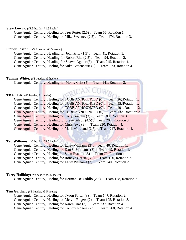#### **Stew Lowry:** (#1.5 header, #1.5 heeler)

Gene Aguiar Century, Heeling for Tres Porter (2.5) . Team 56, Rotation 1. Gene Aguiar Century, Heeling for Mike Sweeney (2.5) . Team 174, Rotation 3.

#### **Stoney Joseph:** (#3.5 header, #3.5 heeler)

Gene Aguiar Century, Heading for John Prito (1.5) . Team 41, Rotation 1. Gene Aguiar Century, Heading for Robert Rita (2.5) . Team 94, Rotation 2. Gene Aguiar Century, Heading for Shawn Aguiar (3) . Team 245, Rotation 4. Gene Aguiar Century, Heeling for Mike Bettencourt (2) . Team 273, Rotation 4.

#### Tammy White: (#3 header, #3 heeler)

Gene Aguiar Century, Heading for Monty Crist (5) . Team 141, Rotation 2.

#### **TBA TBA:** (#1 header, #1 heeler)

Gene Aguiar Century, Heeling for TOBE ANNOUNCED (0). Team 26, Rotation 1. Gene Aguiar Century, Heeling for TOBE ANNOUNCED (0). Team 55, Rotation 1. Gene Aguiar Century, Heeling for TOBE ANNOUNCED (0). Team 101, Rotation 2. Gene Aguiar Century, Heeling for TOBE ANNOUNCED (0) . Team 132, Rotation 2. Gene Aguiar Century, Heeling for Tony Graham (3). Team 189, Rotation 3. Gene Aguiar Century, Heading for Steve Gilson (4.5) . Team 207, Rotation 3. Gene Aguiar Century, Heeling for Chris Awa (3) . Team 230, Rotation 4. Gene Aguiar Century, Heeling for Mark Moreland (2.5) . Team 247, Rotation 4.

#### **Ted Williams:** (#3 header, #3.5 heeler)

Gene Aguiar Century, Heeling for Larry Williams (3) . Team 40, Rotation 1. Gene Aguiar Century, Heeling for Dan Sr Williams (3) . Team 49, Rotation 1. Gene Aguiar Century, Heeling for Scott Evans (1.5) . Team 70, Rotation 1. Gene Aguiar Century, Heeling for Ronnye Garcia (3.5) . Team 120, Rotation 2. Gene Aguiar Century, Heeling for Larry Williams (3) . Team 140, Rotation 2.

#### **Terry Holliday:** (#2 header, #2.5 heeler)

Gene Aguiar Century, Heeling for Herman Delgadillo (2.5) . Team 128, Rotation 2.

#### **Tim Gaither:** (#3 header, #3.5 heeler)

Gene Aguiar Century, Heeling for Tyson Porter (3) . Team 147, Rotation 2. Gene Aguiar Century, Heeling for Melvin Rogers (2) . Team 195, Rotation 3. Gene Aguiar Century, Heeling for Karen Dias (3) . Team 237, Rotation 4. Gene Aguiar Century, Heeling for Tommy Rogers (2.5) . Team 268, Rotation 4.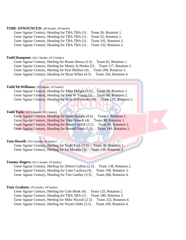#### **TOBE ANNOUNCED:** (#0 header, #0 heeler)

Gene Aguiar Century, Heading for TBA TBA (1) . Team 26, Rotation 1. Gene Aguiar Century, Heading for TBA TBA (1) . Team 55, Rotation 1. Gene Aguiar Century, Heading for TBA TBA (1) . Team 101, Rotation 2. Gene Aguiar Century, Heading for TBA TBA (1) . Team 132, Rotation 2.

#### **Todd Hampton:** (#4.5 header, #5.5 heeler)

Gene Aguiar Century, Heeling for Buster Berna (3.5) . Team 65, Rotation 1. Gene Aguiar Century, Heeling for Monty Jo Petska (5) . Team 117, Rotation 2. Gene Aguiar Century, Heeling for Paul Mullins (4) . Team 209, Rotation 3. Gene Aguiar Century, Heading for Ryan White (4.5) . Team 256, Rotation 4.

#### **Todd McWilliams:** (#3 header, #3 heeler)

Gene Aguiar Century, Heading for Mike Dulgar (1.5) . Team 28, Rotation 1. Gene Aguiar Century, Heading for Jake Sr Young (2) . Team 80, Rotation 2. Gene Aguiar Century, Heading for Kyle Schorovsky (4). Team 133, Rotation 2.

#### **Todd York:** (#3.5 header, #3.5 heeler)

Gene Aguiar Century, Heading for Jason Boegle (4.5) . Team 1, Rotation 1. Gene Aguiar Century, Heading for Tom Howell (4) . Team 38, Rotation 1. Gene Aguiar Century, Heading for Bruce Corkill (3.5) . Team 91, Rotation 2. Gene Aguiar Century, Heading for Russell Funk (5.5) . Team 149, Rotation 2.

#### **Tom Howell:** (#3.5 header, #4 heeler)

Gene Aguiar Century, Heeling for Todd York (3.5) . Team 38, Rotation 1. Gene Aguiar Century, Heeling for Ed Moreda (3) . Team 156, Rotation 3.

#### **Tommy Rogers:** (#2.5 header, #3 heeler)

Gene Aguiar Century, Heeling for Delton Cullins (2.5) . Team 138, Rotation 2. Gene Aguiar Century, Heading for Luke Cardoza (4) . Team 199, Rotation 3. Gene Aguiar Century, Heading for Tim Gaither (3.5) . Team 268, Rotation 4.

#### **Tony Graham:** (#3 header, #4 heeler)

Gene Aguiar Century, Heeling for Cole Hook (4) . Team 125, Rotation 2. Gene Aguiar Century, Heading for TBA TBA (1) . Team 189, Rotation 3. Gene Aguiar Century, Heeling for Mike Nizzoli (2.5) . Team 232, Rotation 4. Gene Aguiar Century, Heeling for Wyatt Gibbs (3.5) . Team 249, Rotation 4.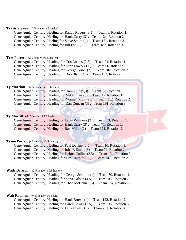#### **Travis Stewart:** (#5 header, #5 heeler)

Gene Aguiar Century, Heeling for Randy Rogers (3.5) . Team 6, Rotation 1. Gene Aguiar Century, Heeling for Hank Curry (3) . Team 124, Rotation 2. Gene Aguiar Century, Heeling for Steve Smith (4) . Team 151, Rotation 3. Gene Aguiar Century, Heeling for Jim Estill (3.5) . Team 187, Rotation 3.

#### **Tres Porter:** (#2.5 header, #1.5 heeler)

Gene Aguiar Century, Heading for Cris Robles (2.5) . Team 24, Rotation 1. Gene Aguiar Century, Heading for Stew Lowry (1.5) . Team 56, Rotation 1. Gene Aguiar Century, Heading for George Porter (2) . Team 102, Rotation 2. Gene Aguiar Century, Heading for Bob Blair (2.5) . Team 162, Rotation 3.

#### **Ty Marriott:** (#2.5 header, #2.5 heeler)

Gene Aguiar Century, Heading for Hank Curry (3) . Team 17, Rotation 1. Gene Aguiar Century, Heading for Mike Johns (5) . Team 42, Rotation 1. Gene Aguiar Century, Heading for Norman Mull (2.5). Team 112, Rotation 2. Gene Aguiar Century, Heading for Dan Duncan (3) . Team 191, Rotation 3.

#### **Ty Morrill:** (#3.5 header, #3.5 heeler)

Gene Aguiar Century, Heeling for Larry Williams (3) . Team 13, Rotation 1. Gene Aguiar Century, Heeling for Hank Curry (3) . Team 71, Rotation 1. Gene Aguiar Century, Heeling for Ray Miller (2) . Team 121, Rotation 2.

#### **Tyson Porter:** (#3 header, #2.5 heeler)

Gene Aguiar Century, Heeling for Paul Devine (2.5) . Team 10, Rotation 1. Gene Aguiar Century, Heeling for John R Smith (3) . Team 79, Rotation 2. Gene Aguiar Century, Heeling for Delton Cullins (2.5). Team 104, Rotation 2. Gene Aguiar Century, Heading for Tim Gaither (3.5) . Team 147, Rotation 2.

#### **Wade Bertsch:** (#2.5 header, #2.5 heeler)

Gene Aguiar Century, Heading for George Schmidt (4) . Team 60, Rotation 1. Gene Aguiar Century, Heading for Steve Gilson (4.5) . Team 103, Rotation 2. Gene Aguiar Century, Heading for Chad McDaniel (5) . Team 134, Rotation 2.

#### **Walt Rodman:** (#4.5 header, #5 heeler)

Gene Aguiar Century, Heeling for Hank Brown (4) . Team 122, Rotation 2. Gene Aguiar Century, Heeling for Daren Lowry (2.5) . Team 196, Rotation 3. Gene Aguiar Century, Heeling for JT Bradley (3.5) . Team 231, Rotation 4.